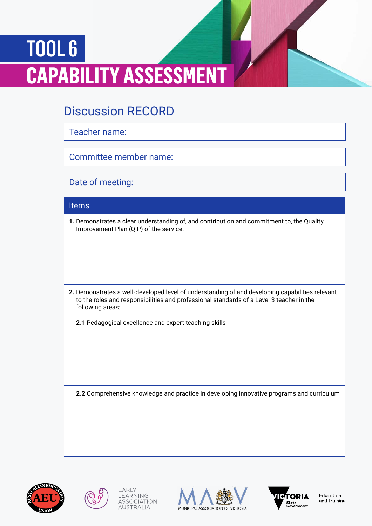## TOOL 6 **CAPABILITY ASSESSMENT**

## Discussion RECORD

Teacher name:

Committee member name:

Date of meeting:

## Items

**1.** Demonstrates a clear understanding of, and contribution and commitment to, the Quality Improvement Plan (QIP) of the service.

**2.** Demonstrates a well-developed level of understanding of and developing capabilities relevant to the roles and responsibilities and professional standards of a Level 3 teacher in the following areas:

**2.1** Pedagogical excellence and expert teaching skills

**2.2** Comprehensive knowledge and practice in developing innovative programs and curriculum









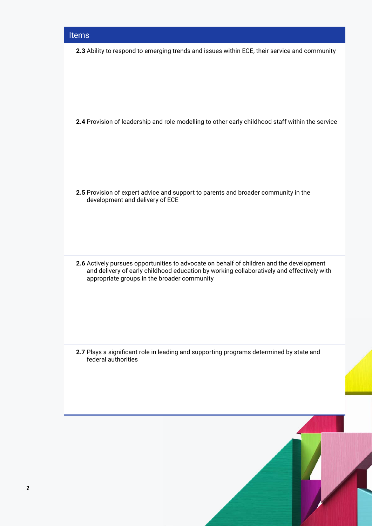**2.3** Ability to respond to emerging trends and issues within ECE, their service and community

**2.4** Provision of leadership and role modelling to other early childhood staff within the service

**2.5** Provision of expert advice and support to parents and broader community in the development and delivery of ECE

**2.6** Actively pursues opportunities to advocate on behalf of children and the development and delivery of early childhood education by working collaboratively and effectively with appropriate groups in the broader community

**2.7** Plays a significant role in leading and supporting programs determined by state and federal authorities